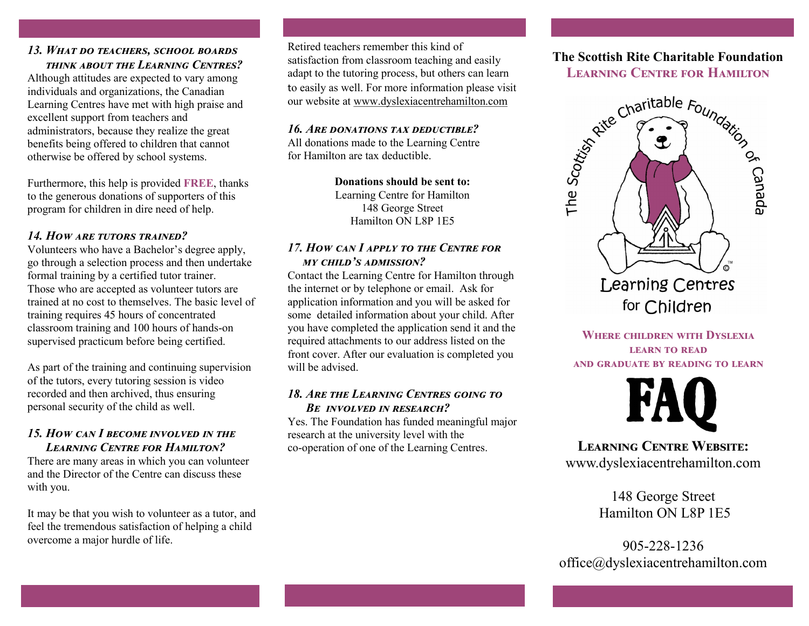#### *13. What do teachers, school boards think about the Learning Centres?*

Although attitudes are expected to vary among individuals and organizations, the Canadian Learning Centres have met with high praise and excellent support from teachers and administrators, because they realize the great benefits being offered to children that cannot otherwise be offered by school systems.

Furthermore, this help is provided **FREE**, thanks to the generous donations of supporters of this program for children in dire need of help.

## *14. How are tutors trained?*

Volunteers who have a Bachelor's degree apply, go through a selection process and then undertake formal training by a certified tutor trainer. Those who are accepted as volunteer tutors are trained at no cost to themselves. The basic level of training requires 45 hours of concentrated classroom training and 100 hours of hands-on supervised practicum before being certified.

As part of the training and continuing supervision of the tutors, every tutoring session is video recorded and then archived, thus ensuring personal security of the child as well.

## *15. How can I become involved in the Learning Centre for Hamilton?*

There are many areas in which you can volunteer and the Director of the Centre can discuss these with you.

It may be that you wish to volunteer as a tutor, and feel the tremendous satisfaction of helping a child overcome a major hurdle of life.

Retired teachers remember this kind of satisfaction from classroom teaching and easily adapt to the tutoring process, but others can learn to easily as well. For more information please visit our website at www.dyslexiacentrehamilton.com

#### *16. Are donations tax deductible?*

All donations made to the Learning Centre for Hamilton are tax deductible.

> **Donations should be sent to:** Learning Centre for Hamilton 148 George Street Hamilton ON L8P 1E5

### *17. How can I apply to the Centre for my child's admission?*

Contact the Learning Centre for Hamilton through the internet or by telephone or email. Ask for application information and you will be asked for some detailed information about your child. After you have completed the application send it and the required attachments to our address listed on the front cover. After our evaluation is completed you will be advised.

### *18. Are the Learning Centres going to Be involved in research?*

Yes. The Foundation has funded meaningful major research at the university level with the co-operation of one of the Learning Centres.

# **The Scottish Rite Charitable Foundation Learning Centre for Hamilton**



**Where children with Dyslexia learn to read and graduate by reading to learn**



**Learning Centre Website:** www.dyslexiacentrehamilton.com

> 148 George Street Hamilton ON L8P 1E5

905-228-1236 office@dyslexiacentrehamilton.com